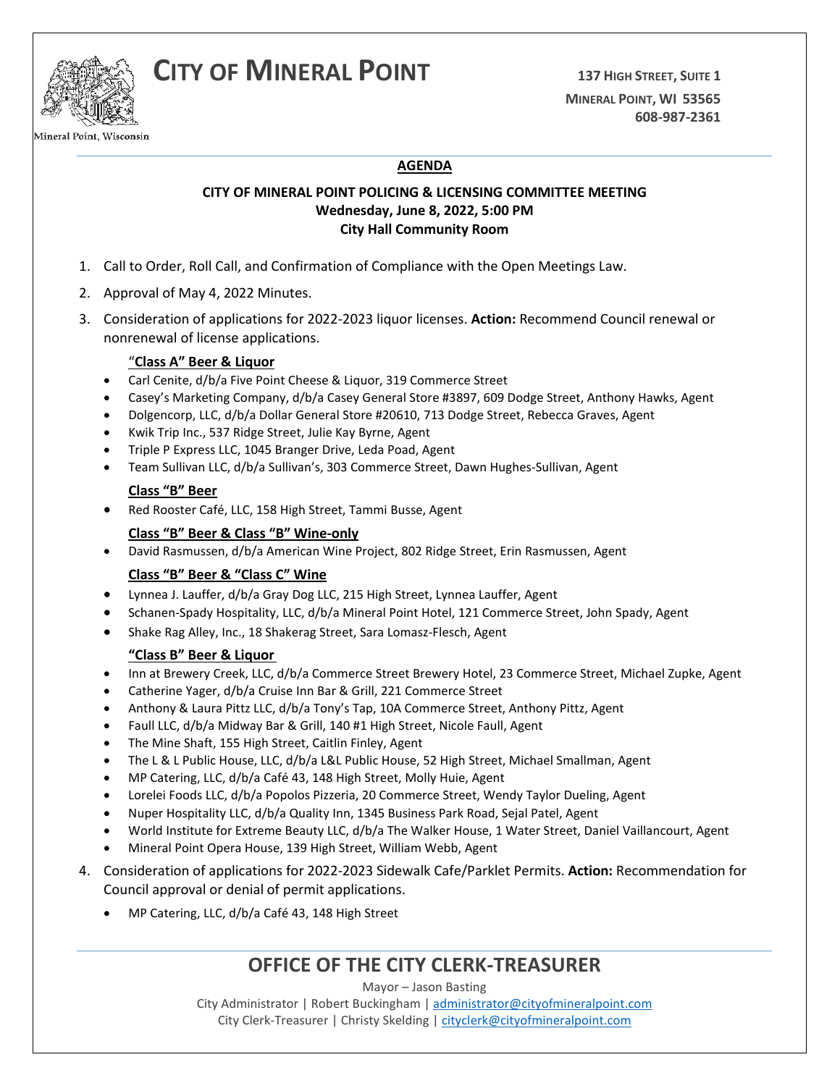



Mineral Point, Wisconsin

## **AGENDA**

### **CITY OF MINERAL POINT POLICING & LICENSING COMMITTEE MEETING Wednesday, June 8, 2022, 5:00 PM City Hall Community Room**

- 1. Call to Order, Roll Call, and Confirmation of Compliance with the Open Meetings Law.
- 2. Approval of May 4, 2022 Minutes.
- 3. Consideration of applications for 2022-2023 liquor licenses. **Action:** Recommend Council renewal or nonrenewal of license applications.

#### "**Class A" Beer & Liquor**

- Carl Cenite, d/b/a Five Point Cheese & Liquor, 319 Commerce Street
- Casey's Marketing Company, d/b/a Casey General Store #3897, 609 Dodge Street, Anthony Hawks, Agent
- Dolgencorp, LLC, d/b/a Dollar General Store #20610, 713 Dodge Street, Rebecca Graves, Agent
- Kwik Trip Inc., 537 Ridge Street, Julie Kay Byrne, Agent
- Triple P Express LLC, 1045 Branger Drive, Leda Poad, Agent
- Team Sullivan LLC, d/b/a Sullivan's, 303 Commerce Street, Dawn Hughes-Sullivan, Agent

#### **Class "B" Beer**

• Red Rooster Café, LLC, 158 High Street, Tammi Busse, Agent

#### **Class "B" Beer & Class "B" Wine-only**

• David Rasmussen, d/b/a American Wine Project, 802 Ridge Street, Erin Rasmussen, Agent

#### **Class "B" Beer & "Class C" Wine**

- Lynnea J. Lauffer, d/b/a Gray Dog LLC, 215 High Street, Lynnea Lauffer, Agent
- Schanen-Spady Hospitality, LLC, d/b/a Mineral Point Hotel, 121 Commerce Street, John Spady, Agent
- Shake Rag Alley, Inc., 18 Shakerag Street, Sara Lomasz-Flesch, Agent

#### **"Class B" Beer & Liquor**

- Inn at Brewery Creek, LLC, d/b/a Commerce Street Brewery Hotel, 23 Commerce Street, Michael Zupke, Agent
- Catherine Yager, d/b/a Cruise Inn Bar & Grill, 221 Commerce Street
- Anthony & Laura Pittz LLC, d/b/a Tony's Tap, 10A Commerce Street, Anthony Pittz, Agent
- Faull LLC, d/b/a Midway Bar & Grill, 140 #1 High Street, Nicole Faull, Agent
- The Mine Shaft, 155 High Street, Caitlin Finley, Agent
- The L & L Public House, LLC, d/b/a L&L Public House, 52 High Street, Michael Smallman, Agent
- MP Catering, LLC, d/b/a Café 43, 148 High Street, Molly Huie, Agent
- Lorelei Foods LLC, d/b/a Popolos Pizzeria, 20 Commerce Street, Wendy Taylor Dueling, Agent
- Nuper Hospitality LLC, d/b/a Quality Inn, 1345 Business Park Road, Sejal Patel, Agent
- World Institute for Extreme Beauty LLC, d/b/a The Walker House, 1 Water Street, Daniel Vaillancourt, Agent
- Mineral Point Opera House, 139 High Street, William Webb, Agent
- 4. Consideration of applications for 2022-2023 Sidewalk Cafe/Parklet Permits. **Action:** Recommendation for Council approval or denial of permit applications.
	- MP Catering, LLC, d/b/a Café 43, 148 High Street

## **OFFICE OF THE CITY CLERK-TREASURER**

Mayor – Jason Basting

City Administrator | Robert Buckingham | [administrator@cityofmineralpoint.com](mailto:administrator@cityofmineralpoint.com) City Clerk-Treasurer | Christy Skelding | [cityclerk@cityofmineralpoint.com](mailto:cityclerk@cityofmineralpoint.com)